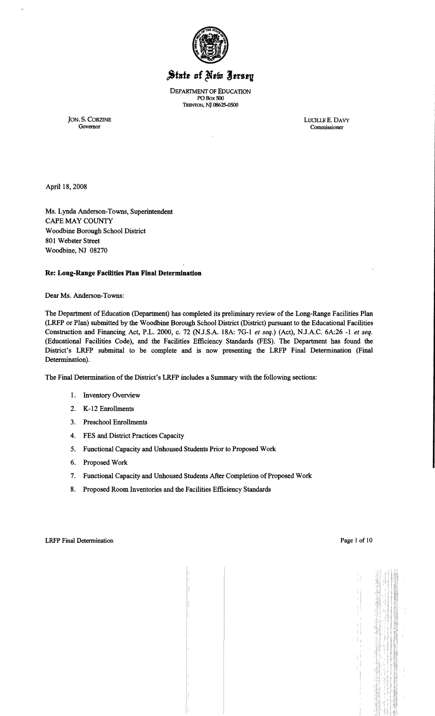

# State of New Jersey

DEPARTMENT OF EDUCATION PO Box SOO TRENTON, NT 08625-0500

JON. S. CORZINE LUOLLEE. DAVY

Commissioner

April 18,2008

Ms. Lynda Anderson-Towns, Superintendent CAPE MAY COUNTY Woodbine Borough School District 801 Webster Street Woodbine, NJ 08270

#### Re: Long-Range Facilities Plan Final Determination

Dear Ms. Anderson-Towns:

The Department of Education (Department) has completed its preliminary review of the Long-Range Facilities Plan (LRFP or Plan) submitted by the Woodbine Borough School District (District) pursuant to the Educational Facilities Construction and Financing Act, P.L. 2000, c. 72 (N.J.S.A. 18A: 7G-1 *et seq.*) (Act), N.J.A.C. 6A:26 -1 *et seq.* (Educational Facilities Code), and the Facilities Efficiency Standards (FES). The Department has found the District's LRFP submittal to be complete and is now presenting the LRFP Final Determination (Final Determination).

The Final Determination of the District's LRFP includes a Summary with the following sections:

- I. Inventory Overview
- 2. K-12 Enrollments
- 3. Preschool Enrollments
- 4. FES and District Practices Capacity
- 5. Functional Capacity and Unhoused Students Prior to Proposed Work
- 6. Proposed Work
- 7. Functional Capacity and Unhoused Students After Completion of Proposed Work
- 8. Proposed Room Inventories and the Facilities Efficiency Standards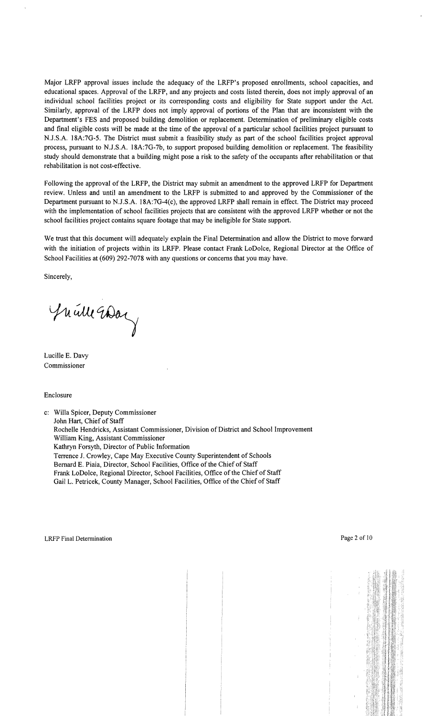Major LRFP approval issues include the adequacy of the LRFP's proposed enrollments, school capacities, and educational spaces. Approval of the LRFP, and any projects and costs listed therein, does not imply approval of an individual school facilities project or its corresponding costs and eligibility for State support under the Act. Similarly, approval of the LRFP does not imply approval of portions of the Plan that are inconsistent with the Department's FES and proposed building demolition or replacement. Determination of preliminary eligible costs and final eligible costs will be made at the time of the approval of a particular school facilities project pursuant to NJ.S.A. 18A:7G-5. The District must submit a feasibility study as part of the school facilities project approval process, pursuant to NJ.S.A. 18A:7G-7b, to support proposed building demolition or replacement. The feasibility study should demonstrate that a building might pose a risk to the safety of the occupants after rehabilitation or that rehabilitation is not cost-effective.

Following the approval of the LRFP, the District may submit an amendment to the approved LRFP for Department review. Unless and until an amendment to the LRFP is submitted to and approved by the Commissioner of the Department pursuant to NJ.S.A. 18A:7G-4(c), the approved LRFP shall remain in effect. The District may proceed with the implementation of school facilities projects that are consistent with the approved LRFP whether or not the school facilities project contains square footage that may be ineligible for State support.

We trust that this document will adequately explain the Final Determination and allow the District to move forward with the initiation of projects within its LRFP. Please contact Frank LoDolce, Regional Director at the Office of School Facilities at (609) 292-7078 with any questions or concerns that you may have.

Sincerely,

Juille Way

Lucille E. Davy Commissioner

Enclosure

c: Willa Spicer, Deputy Commissioner John Hart, Chief of Staff Rochelle Hendricks, Assistant Commissioner, Division of District and School Improvement William King, Assistant Commissioner Kathryn Forsyth, Director of Public Information Terrence J. Crowley, Cape May Executive County Superintendent of Schools Bernard E. Piaia, Director, School Facilities, Office of the Chief of Staff Frank LoDolce, Regional Director, School Facilities, Office of the Chief of Staff Gail L. Petricek, County Manager, School Facilities, Office of the Chief of Staff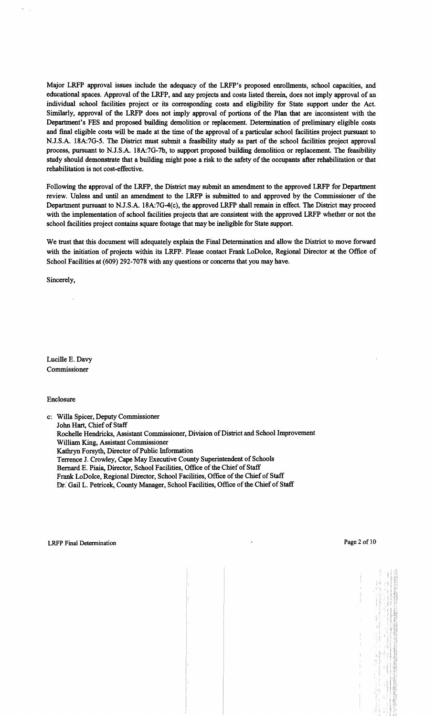Major LRFP approval issues include the adequacy of the LRFP's proposed enrollments, school capacities, and educational spaces. Approval of the LRFP, and any projects and costs listed therein, does not imply approval of an individual school facilities project or its corresponding costs and eligibility for State support under the Act. Similarly, approval of the LRFP does not imply approval of portions of the Plan that are inconsistent with the Department's FES and proposed building demolition or replacement. Determination of preliminary eligible costs and final eligible costs will be made at the time of the approval of a particular school facilities project pursuant to N.J.S.A. 18A:7G-5. The District must submit a feasibility study as part of the school facilities project approval process, pursuant to N.J.S.A. 18A:7G-7b, to support proposed building demolition or replacement. The feasibility study should demonstrate that a building might pose a risk to the safety of the occupants after rehabilitation or that rehabilitation is not cost-effective.

Following the approval of the LRFP, the District may submit an amendment to the approved LRFP for Department review. Unless and until an amendment to the LRFP is submitted to and approved by the Commissioner of the Department pursuant to N.J.S.A. 18A:7G-4(c), the approved LRFP shall remain in effect. The District may proceed with the implementation of school facilities projects that are consistent with the approved LRFP whether or not the school facilities project contains square footage that may be ineligible for State support.

We trust that this document will adequately explain the Final Determination and allow the District to move forward with the initiation of projects within its LRFP. Please contact Frank LoDolce, Regional Director at the Office of School Facilities at (609) 292-7078 with any questions or concerns that you may have.

Sincerely,

Lucille E. Davy Commissioner

#### Enclosure

c: Willa Spicer, Deputy Commissioner John Hart, Chief of Staff Rochelle Hendricks, Assistant Commissioner, Division of District and School Improvement William King, Assistant Commissioner Kathryn Forsyth, Director of Public Information Terrence J. Crowley, Cape May Executive County Superintendent of Schools Bernard E. Piaia, Director, School Facilities, Office of the Chief of Staff Frank LoDolce, Regional Director, School Facilities, Office of the Chief of Staff Dr. Gail L. Petricek, County Manager, School Facilities, Office of the Chief of Staff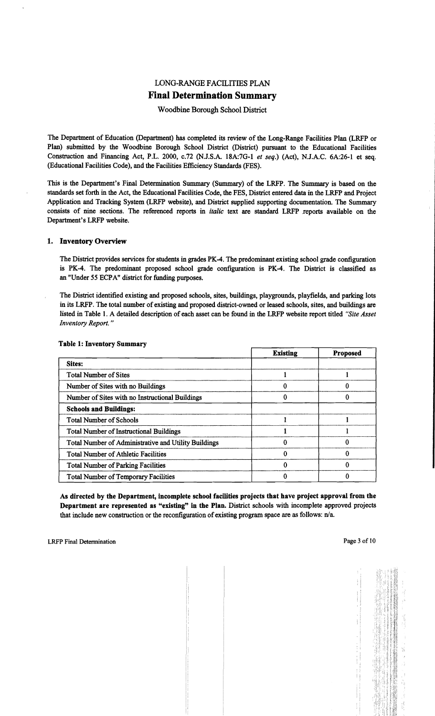## LONG-RANGE FACILITIES PLAN Final Determination Summary

## Woodbine Borough School District

The Department of Education (Department) has completed its review of the Long-Range Facilities Plan (LRFP or Plan) submitted by the Woodbine Borough School District (District) pursuant to the Educational Facilities Construction and Financing Act, P.L. 2000, c.72 (N.J.S.A. 18A:7G-l *et seq.)* (Act), N.J.A.C. 6A:26-1 et seq. (Educational Facilities Code), and the Facilities Efficiency Standards (FES).

This is the Department's Final Determination Summary (Summary) of the LRFP. The Summary is based on the standards set forth in the Act, the Educational Facilities Code, the FES, District entered data in the LRFP and Project Application and Tracking System (LRFP website), and District supplied supporting documentation. The Summary consists of nine sections. The referenced reports in *italic* text are standard LRFP .reports available on the Department's LRFP website.

#### 1. Inventory Overview

The District provides services for students in grades PK-4. The predominant existing school grade configuration is PK-4. The predominant proposed school grade configuration is PK-4. The District is classified as an "Under 55 ECPA" district for funding purposes.

The District identified existing and proposed schools, sites, buildings, playgrounds, playfields, and parking lots in its LRFP. The total number of existing and proposed district-owned or leased schools, sites, and buildings are listed in Table I. A detailed description of each asset can be found in the LRFP website report titled *"Site Asset Inventory Report. "* 

|                                                      | <b>Existing</b> | <b>Proposed</b> |
|------------------------------------------------------|-----------------|-----------------|
| Sites:                                               |                 |                 |
| <b>Total Number of Sites</b>                         |                 |                 |
| Number of Sites with no Buildings                    |                 |                 |
| Number of Sites with no Instructional Buildings      |                 |                 |
| <b>Schools and Buildings:</b>                        |                 |                 |
| <b>Total Number of Schools</b>                       |                 |                 |
| <b>Total Number of Instructional Buildings</b>       |                 |                 |
| Total Number of Administrative and Utility Buildings |                 |                 |
| <b>Total Number of Athletic Facilities</b>           |                 | 0               |
| <b>Total Number of Parking Facilities</b>            |                 | 0               |
| <b>Total Number of Temporary Facilities</b>          |                 | O               |

#### Table 1· Inventory Summary

As directed by the Department, incomplete school facilities projects that have project approval from the Department are represented as "existing" in the Plan. District schools with incomplete approved projects that include new construction or the reconfiguration of existing program space are as follows:  $n/a$ .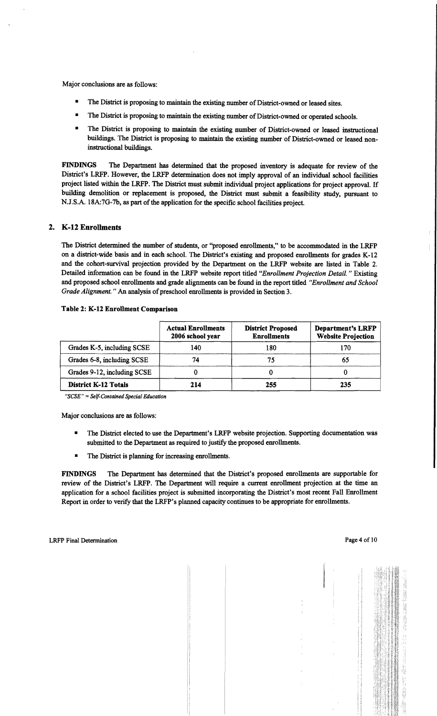Major conclusions are as follows:

- The District is proposing to maintain the existing number of District-owned or leased sites.
- The District is proposing to maintain the existing number of District-owned or operated schools.
- The District is proposing to maintain the existing number of District-owned or leased instructional buildings. The District is proposing to maintain the existing number of District-owned or leased noninstructional buildings.

FINDINGS The Department has determined that the proposed inventory is adequate for review of the District's LRFP. However, the LRFP determination does not imply approval of an individual school facilities project listed within the LRFP. The District must submit individual project applications for project approval. If building demolition or replacement is proposed, the District must submit a feasibility study, pursuant to N.J.S.A. 18A:7G-7b, as part of the application for the specific school facilities project.

#### 2. K-12 Enrollments

The District determined the number of students, or ''proposed enrollments," to be accommodated in the LRFP on a district-wide basis and in each school. The District's existing and proposed enrollments for grades K-12 and the cohort-survival projection provided by the Department on the LRFP website are listed in Table 2. Detailed information can be found in the LRFP website report titled *"Enrollment Projection Detail.* " Existing and proposed school enrollments and grade alignments can be found in the report titled *"Enrollment and School Grade Alignment.*" An analysis of preschool enrollments is provided in Section 3.

|                             | <b>Actual Enrollments</b><br>2006 school year | <b>District Proposed</b><br><b>Enrollments</b> | <b>Department's LRFP</b><br><b>Website Projection</b> |
|-----------------------------|-----------------------------------------------|------------------------------------------------|-------------------------------------------------------|
| Grades K-5, including SCSE  | 140                                           | 180                                            | 170                                                   |
| Grades 6-8, including SCSE  | 74                                            | 75                                             | 65                                                    |
| Grades 9-12, including SCSE |                                               |                                                |                                                       |
| <b>District K-12 Totals</b> | 214                                           | 255                                            | 235                                                   |

#### Table 2: K-12 Enrollment Comparison

*"SCSE"* =*Self-Contained Special Education* 

Major conclusions are as follows:

- The District elected to use the Department's LRFP website projection. Supporting documentation was submitted to the Department as required to justify the proposed enrollments.
- The District is planning for increasing enrollments.

FINDINGS The Department has determined that the District's proposed enrollments are supportable for review of the District's LRFP. The Department will require a current enrollment projection at the time an application for a school facilities project is submitted incorporating the District's most recent Fall Enrollment Report in order to verify that the LRFP's planned capacity continues to be appropriate for enrollments.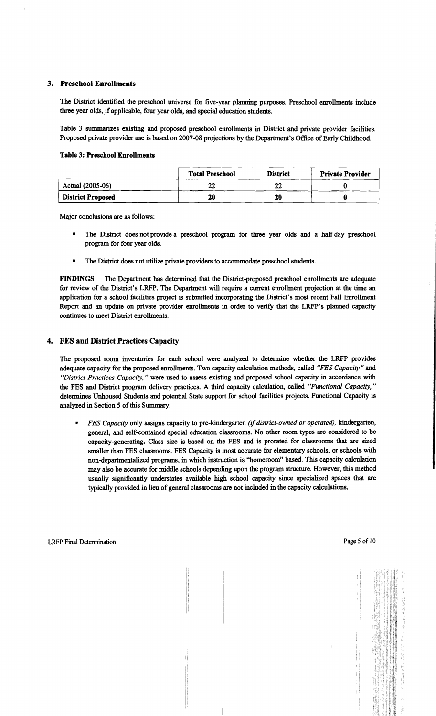## 3. Preschool Enrollments

The District identified the preschool universe for five-year planning purposes. Preschool enrollments include three year olds, if applicable, four year olds, and special education students.

Table 3 summarizes existing and proposed preschool enrollments in District and private provider facilities. Proposed private provider use is based on 2007-08 projections by the Department's Office of Early Childhood.

#### Table 3: Preschool Enrollments

|                          | <b>Total Preschool</b> | <b>District</b> | <b>Private Provider</b> |
|--------------------------|------------------------|-----------------|-------------------------|
| Actual (2005-06)         | າງ<br>LL               | ∸               |                         |
| <b>District Proposed</b> | 20                     | 20              |                         |

Major conclusions are as follows:

- The District does not provide a preschool program for three year olds and a half day preschool program for four year olds.
- The District does not utilize private providers to accommodate preschool students.

FINDINGS The Department has determined that the District-proposed preschool enrollments are adequate for review of the District's LRFP. The Department will require a current enrollment projection at the time an application for a school facilities project is submitted incorporating the District's most recent Fall Enrollment Report and an update on private provider enrollments in order to verify that the LRFP's planned capacity continues to meet District enrollments.

#### 4. FES and District Practices Capacity

The proposed room inventories for each school were analyzed to determine whether the LRFP provides adequate capacity for the proposed enrollments. Two capacity calculation methods, called *"FES Capacity"* and *"District Practices Capacity,* " were used to assess existing and proposed school capacity in accordance with the FES and District program delivery practices. A third capacity calculation, called *"Functional Capacity, "*  determines Unhoused Students and potential State support for school facilities projects. Functional Capacity is analyzed in Section 5 of this Summary.

*• FES Capacity* only assigns capacity to pre-kindergarten *(ifdistrict-owned or operated),* kindergarten, general, and self-contained special education classrooms. No other room types are considered to be capacity-generating. Class size is based on the FES and is prorated for classrooms that are sized smaller than FES classrooms. FES Capacity is most accurate for elementary schools, or schools with non-departmentalized programs, in which instruction is "homeroom" based. This capacity calculation may also be accurate for middle schools depending upon the program structure. However, this method usually significantly understates available high school capacity since specialized spaces that are typically provided in lieu of general classrooms are not included in the capacity calculations.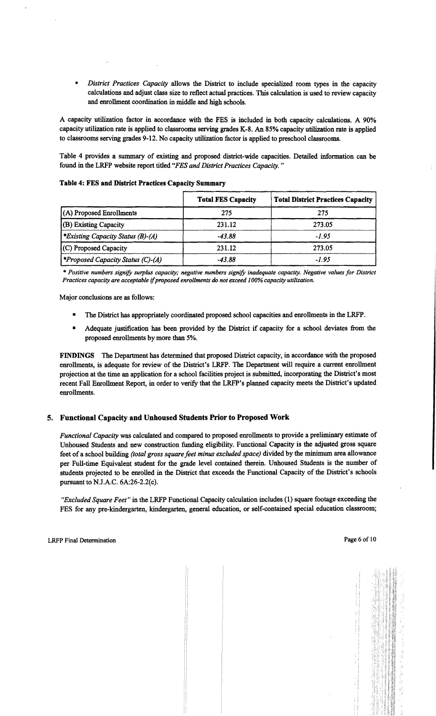District Practices Capacity allows the District to include specialized room types in the capacity calculations and adjust class size to reflect actual practices. This calculation is used to review capacity and enrollment coordination in middle and high schools.

A capacity utilization factor in accordance with the FES is included in both capacity calculations. A 90% capacity utilization rate is applied to classrooms serving grades K-8. An 85% capacity utilization rate is applied to classrooms serving grades 9-12. No capacity utilization factor is applied to preschool classrooms.

Table 4 provides a summary of existing and proposed district-wide capacities. Detailed information can be found in the LRFP website report titled *"FES and District Practices Capacity. "* 

|                                                 | <b>Total FES Capacity</b> | <b>Total District Practices Capacity</b> |
|-------------------------------------------------|---------------------------|------------------------------------------|
| (A) Proposed Enrollments                        | 275                       | 275                                      |
| (B) Existing Capacity                           | 231.12                    | 273.05                                   |
| *Existing Capacity Status (B)-(A)               | $-43.88$                  | $-1.95$                                  |
| (C) Proposed Capacity                           | 231.12                    | 273.05                                   |
| <i><b>*Proposed Capacity Status (C)-(A)</b></i> | $-43.88$                  | -1.95                                    |

#### Table 4: FES and District Practices Capacity Summary

\* *Positive numbers signify surplus capacity; negative numbers signify inadequate capacity. Negative values for District Practices capacity are acceptable* if*proposed enrollments do not exceed 100% capacity utilization.* 

Major conclusions are as follows:

- The District has appropriately coordinated proposed school capacities and enrollments in the LRFP.
- Adequate justification has been provided by the District if capacity for a school deviates from the proposed enrollments by more than 5%.

FINDINGS The Department has determined that proposed District capacity, in accordance with the proposed enrollments, is adequate for review of the District's LRFP. The Department will require a current enrollment projection at the time an application for a school facilities project is submitted, incorporating the District's most recent Fall Enrollment Report, in order to verify that the LRFP's planned capacity meets the District's updated enrollments.

## 5. Functional Capacity and Unhoused Students Prior to Proposed Work

*Functional Capacity* was calculated and compared to proposed enrollments to provide a preliminary estimate of Unhoused Students and new construction funding eligibility. Functional Capacity is the adjusted gross square feet of a school building *(total gross square feet minus excluded space)* divided by the minimum area allowance per Full-time Equivalent student for the grade level contained therein. Unhoused Students is the number of students projected to be enrolled in the District that exceeds the Functional Capacity of the District's schools pursuant to NJ.A.C. 6A:26-2.2(c).

*"Excluded Square Feet"* in the LRFP Functional Capacity calculation includes (1) square footage exceeding the FES for any pre-kindergarten, kindergarten, general education, or self-contained special education classroom;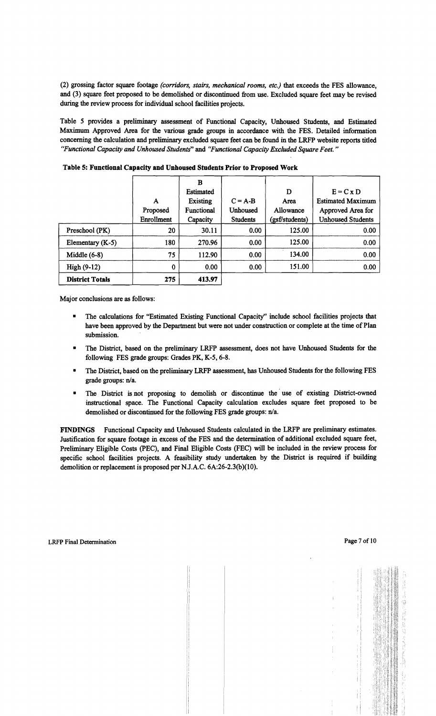(2) grossing factor square footage *(corridors, stairs, mechanical rooms, etc.)* that exceeds the FES allowance, and (3) square feet proposed to be demolished or discontinued from use. Excluded square feet may be revised during the review process for individual school facilities projects.

Table 5 provides a preliminary assessment of Functional Capacity, Unhoused Students, and Estimated Maximum Approved Area for the various grade groups in accordance with the FES. Detailed information concerning the calculation and preliminary excluded square feet can be found in the LRFP website reports titled *HFunctional Capacity and Unhoused Students"* and *"Functional Capacity Excluded Square Feet. "* 

|                        |            | B                |                 |                |                          |
|------------------------|------------|------------------|-----------------|----------------|--------------------------|
|                        |            | <b>Estimated</b> |                 | D              | $E = C \times D$         |
|                        | A          | Existing         | $C = A-B$       | Area           | <b>Estimated Maximum</b> |
|                        | Proposed   | Functional       | Unhoused        | Allowance      | Approved Area for        |
|                        | Enrollment | Capacity         | <b>Students</b> | (gsf/students) | <b>Unhoused Students</b> |
| Preschool (PK)         | 20         | 30.11            | 0.00            | 125.00         | 0.00                     |
| Elementary (K-5)       | 180        | 270.96           | 0.00            | 125.00         | 0.00                     |
| Middle $(6-8)$         | 75         | 112.90           | 0.00            | 134.00         | 0.00                     |
| $High(9-12)$           | $\bf{0}$   | 0.00             | 0.00            | 151.00         | 0.00                     |
| <b>District Totals</b> | 275        | 413.97           |                 |                |                          |

Table 5: Functional Capacity and Unhoused Students Prior to Proposed Work

Major conclusions are as follows:

- The calculations for "Estimated Existing Functional Capacity" include school facilities projects that have been approved by the Department but were not under construction or complete at the time of Plan submission.
- The District, based on the preliminary LRFP assessment, does not have Unhoused Students for the following FES grade groups: Grades PK, K-5, 6-8.
- The District, based on the preliminary LRFP assessment, has Unhoused Students for the following FES grade groups: n/a.
- The District is not proposing to demolish or discontinue the use of existing District-owned instructional space. The Functional Capacity calculation excludes square feet proposed to be demolished or discontinued for the following FES grade groups: n/a.

FINDINGS Functional Capacity and Unhoused Students calculated in the LRFP are preliminary estimates. Justification for square footage in excess of the FES and the determination of additional excluded square feet, Preliminary Eligible Costs (PEC), and Final Eligible Costs (FEC) will be included in the review process for specific school facilities projects. A feasibility study undertaken by the District is required if building demolition or replacement is proposed per N.J.A.C. 6A:26-2.3(b)(10).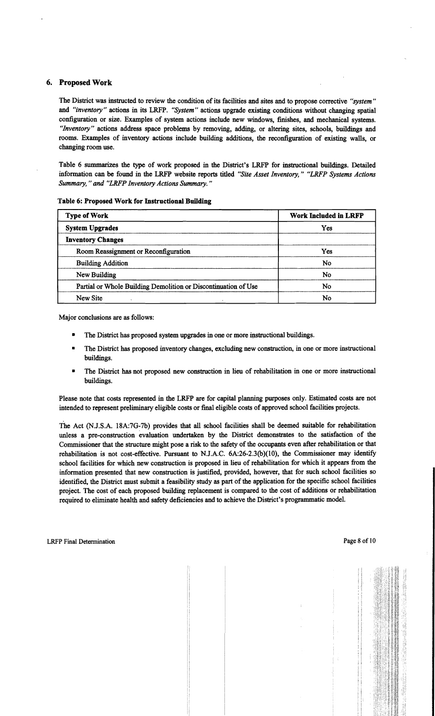## 6. Proposed Work

The District was instructed to review the condition of its facilities and sites and to propose corrective *"system"*  and *"inventory"* actions in its LRFP. *"System"* actions upgrade existing conditions without changing spatial configuration or size. Examples of system actions include new windows, finishes, and mechanical systems. *"Inventory"* actions address space problems by removing, adding, or altering sites, schools, buildings and rooms. Examples of inventory actions include building additions, the reconfiguration of existing walls, or changing room use.

Table 6 summarizes the type of work proposed in the District's LRFP for instructional buildings. Detailed information can be found in the LRFP website reports titled *"Site Asset Inventory," "LRFP Systems Actions Summary,* " *and "LRFP Inventory Actions Summary. "* 

| <b>Type of Work</b>                                            | <b>Work Included in LRFP</b> |  |  |
|----------------------------------------------------------------|------------------------------|--|--|
| <b>System Upgrades</b>                                         | Yes                          |  |  |
| <b>Inventory Changes</b>                                       |                              |  |  |
| Room Reassignment or Reconfiguration                           | Yes                          |  |  |
| <b>Building Addition</b>                                       | No                           |  |  |
| New Building                                                   | No                           |  |  |
| Partial or Whole Building Demolition or Discontinuation of Use | No                           |  |  |
| <b>New Site</b>                                                | No                           |  |  |

#### Table 6: Proposed Work for Instructional Building

Major conclusions are as follows:

- The District has proposed system upgrades in one or more instructional buildings.
- The District has proposed inventory changes, excluding new construction, in one or more instructional buildings.
- The District has not proposed new construction in lieu of rehabilitation in one or more instructional buildings.

Please note that costs represented in the LRFP are for capital planning purposes only. Estimated costs are not intended to represent preliminary eligible costs or final eligible costs of approved school facilities projects.

The Act (NJ.S.A. 18A:7G-7b) provides that all school facilities shall be deemed suitable for rehabilitation unless a pre-construction evaluation undertaken by the District demonstrates to the satisfaction of the Commissioner that the structure might pose a risk to the safety of the occupants even after rehabilitation or that rehabilitation is not cost-effective. Pursuant to NJ.A.C. 6A:26-2.3(b)(IO), the Commissioner may identify school facilities for which new construction is proposed in lieu of rehabilitation for which it appears from the information presented that new construction is justified, provided, however, that for such school facilities so identified, the District must submit a feasibility study as part of the application for the specific school facilities project. The cost of each proposed building replacement is compared to the cost of additions or rehabilitation required to eliminate health and safety deficiencies and to achieve the District's programmatic model.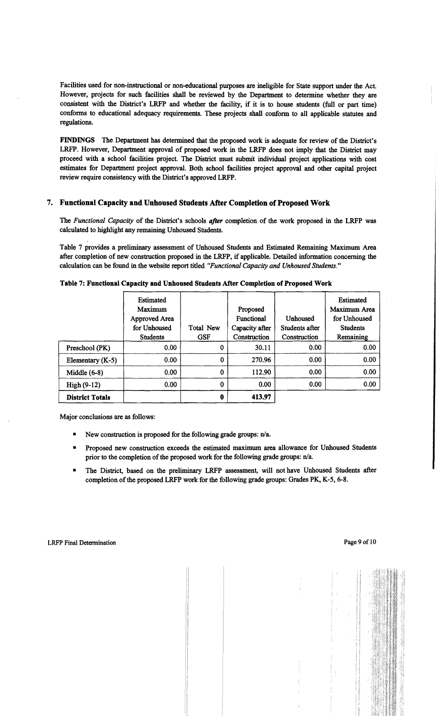Facilities used for non-instructional or non-educational purposes are ineligible for State support under the Act. However, projects for such facilities shall be reviewed by the Department to determine whether they are consistent with the District's LRFP and whether the facility, if it is to house students (full or part time) conforms to educational adequacy requirements. These projects shall conform to all applicable statutes and regulations.

FINDINGS The Department has determined that the proposed work is adequate for review of the District's LRFP. However, Department approval of proposed work in the LRFP does not imply that the District may proceed with a school facilities project. The District must submit individual project applications with cost estimates for Department project approval. Both school facilities project approval and other capital project review require consistency with the District's approved LRFP.

#### 7. Functional Capacity and Unhoused Students After Completion of Proposed Work

The *Functional Capacity* of the District's schools *after* completion of the work proposed in the LRFP was calculated to highlight any remaining Unhoused Students.

Table 7 provides a preliminary assessment of Unhoused Students and Estimated Remaining Maximum Area after completion of new construction proposed in the LRFP, if applicable. Detailed information concerning the calculation can be found in the website report titled *"Functional Capacity and Unhoused Students.* <sup>n</sup>

|                        | Estimated<br>Maximum<br>Approved Area<br>for Unhoused<br><b>Students</b> | Total New<br><b>GSF</b> | Proposed<br><b>Functional</b><br>Capacity after<br>Construction | Unhoused<br>Students after<br>Construction | Estimated<br>Maximum Area<br>for Unhoused<br><b>Students</b><br>Remaining |
|------------------------|--------------------------------------------------------------------------|-------------------------|-----------------------------------------------------------------|--------------------------------------------|---------------------------------------------------------------------------|
| Preschool (PK)         | 0.00                                                                     | 0                       | 30.11                                                           | 0.00                                       | 0.00                                                                      |
| Elementary (K-5)       | 0.00 <sub>1</sub>                                                        | 0                       | 270.96                                                          | 0.00                                       | 0.00                                                                      |
| Middle $(6-8)$         | 0.00 <sub>1</sub>                                                        | 0                       | 112.90                                                          | 0.00                                       | 0.00                                                                      |
| $High(9-12)$           | 0.00                                                                     | 0                       | 0.00                                                            | 0.00                                       | 0.00                                                                      |
| <b>District Totals</b> |                                                                          | 0                       | 413.97                                                          |                                            |                                                                           |

Table 7: Functional Capacity and Unhoused Students After Completion of Proposed Work

Major conclusions are as follows:

- New construction is proposed for the following grade groups:  $n/a$ .
- Proposed new construction exceeds the estimated maximum area allowance for Unhoused Students prior to the completion of the proposed work for the following grade groups:  $n/a$ .
- The District, based on the preliminary LRFP assessment, will not have Unhoused Students after completion of the proposed LRFP work for the following grade groups: Grades PK, K-5, 6-8.